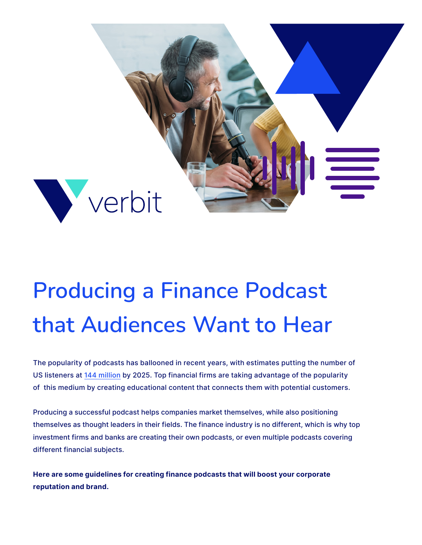

# **Producing a Finance Podcast that Audiences Want to Hear**

The popularity of podcasts has ballooned in recent years, with estimates putting the number of US listeners at [144 million](https://verbit.ai/podcast-accessibility-requirements-best-practices/) by 2025. Top financial firms are taking advantage of the popularity of this medium by creating educational content that connects them with potential customers.

Producing a successful podcast helps companies market themselves, while also positioning themselves as thought leaders in their fields. The finance industry is no different, which is why top investment firms and banks are creating their own podcasts, or even multiple podcasts covering different financial subjects.

**Here are some guidelines for creating finance podcasts that will boost your corporate reputation and brand.**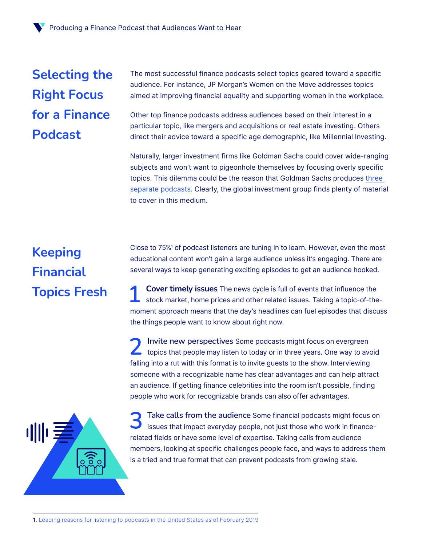## **Selecting the Right Focus for a Finance Podcast**

The most successful finance podcasts select topics geared toward a specific audience. For instance, JP Morgan's Women on the Move addresses topics aimed at improving financial equality and supporting women in the workplace.

Other top finance podcasts address audiences based on their interest in a particular topic, like mergers and acquisitions or real estate investing. Others direct their advice toward a specific age demographic, like Millennial Investing.

Naturally, larger investment firms like Goldman Sachs could cover wide-ranging subjects and won't want to pigeonhole themselves by focusing overly specific topics. This dilemma could be the reason that Goldman Sachs produces [three](https://verbit.ai/captioning-and-transcription-for-the-financial-industry/)  [separate podcasts.](https://verbit.ai/captioning-and-transcription-for-the-financial-industry/) Clearly, the global investment group finds plenty of material to cover in this medium.

### **Keeping Financial Topics Fresh**

Close to 75%1 of podcast listeners are tuning in to learn. However, even the most educational content won't gain a large audience unless it's engaging. There are several ways to keep generating exciting episodes to get an audience hooked.

**Cover timely issues** The news cycle is full of events that influence the stock market, home prices and other related issues. Taking a topic-of-themoment approach means that the day's headlines can fuel episodes that discuss the things people want to know about right now.

**Invite new perspectives** Some podcasts might focus on evergreen topics that people may listen to today or in three years. One way to avoid falling into a rut with this format is to invite guests to the show. Interviewing someone with a recognizable name has clear advantages and can help attract an audience. If getting finance celebrities into the room isn't possible, finding people who work for recognizable brands can also offer advantages.



**Take calls from the audience** Some financial podcasts might focus on issues that impact everyday people, not just those who work in financerelated fields or have some level of expertise. Taking calls from audience members, looking at specific challenges people face, and ways to address them is a tried and true format that can prevent podcasts from growing stale.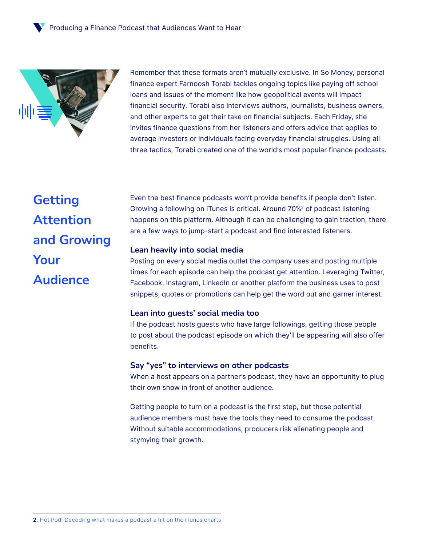

Remember that these formats aren't mutually exclusive. In So Money, personal finance expert Farnoosh Torabi tackles ongoing topics like paying off school loans and issues of the moment like how geopolitical events will impact financial security. Torabi also interviews authors, journalists, business owners, and other experts to get their take on financial subjects. Each Friday, she invites finance questions from her listeners and offers advice that applies to average investors or individuals facing everyday financial struggles. Using all three tactics, Torabi created one of the world's most popular finance podcasts.

**Getting Attention and Growing Your Audience**

Even the best finance podcasts won't provide benefits if people don't listen. Growing a following on iTunes is critical. Around 70%2 of podcast listening happens on this platform. Although it can be challenging to gain traction, there are a few ways to jump-start a podcast and find interested listeners.

### **Lean heavily into social media**

Posting on every social media outlet the company uses and posting multiple times for each episode can help the podcast get attention. Leveraging Twitter, Facebook, Instagram, LinkedIn or another platform the business uses to post snippets, quotes or promotions can help get the word out and garner interest.

#### **Lean into guests' social media too**

If the podcast hosts guests who have large followings, getting those people to post about the podcast episode on which they'll be appearing will also offer benefits.

#### **Say "yes" to interviews on other podcasts**

When a host appears on a partner's podcast, they have an opportunity to plug their own show in front of another audience.

Getting people to turn on a podcast is the first step, but those potential audience members must have the tools they need to consume the podcast. Without suitable accommodations, producers risk alienating people and stymying their growth.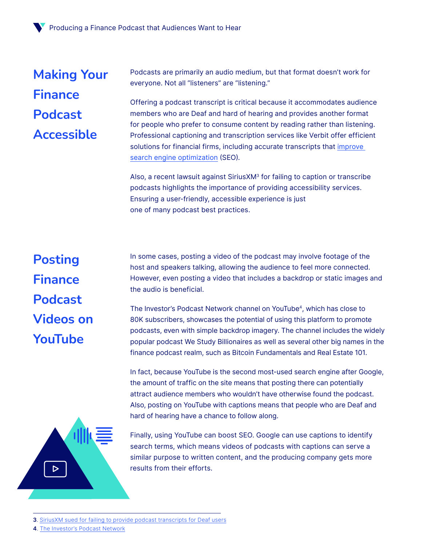## **Making Your Finance Podcast Accessible**

Podcasts are primarily an audio medium, but that format doesn't work for everyone. Not all "listeners" are "listening."

Offering a podcast transcript is critical because it accommodates audience members who are Deaf and hard of hearing and provides another format for people who prefer to consume content by reading rather than listening. Professional captioning and transcription services like Verbit offer efficient solutions for financial firms, including accurate transcripts that [improve](https://verbit.ai/improve-seo-verbit-transcription-captioning/)  [search engine optimization](https://verbit.ai/improve-seo-verbit-transcription-captioning/) (SEO).

Also, a recent lawsuit against SiriusXM3 for failing to caption or transcribe podcasts highlights the importance of providing accessibility services. Ensuring a user-friendly, accessible experience is just one of many podcast best practices.

# **Posting Finance Podcast Videos on YouTube**

In some cases, posting a video of the podcast may involve footage of the host and speakers talking, allowing the audience to feel more connected. However, even posting a video that includes a backdrop or static images and the audio is beneficial.

The Investor's Podcast Network channel on YouTube4, which has close to 80K subscribers, showcases the potential of using this platform to promote podcasts, even with simple backdrop imagery. The channel includes the widely popular podcast We Study Billionaires as well as several other big names in the finance podcast realm, such as Bitcoin Fundamentals and Real Estate 101.

In fact, because YouTube is the second most-used search engine after Google, the amount of traffic on the site means that posting there can potentially attract audience members who wouldn't have otherwise found the podcast. Also, posting on YouTube with captions means that people who are Deaf and hard of hearing have a chance to follow along.



Finally, using YouTube can boost SEO. Google can use captions to identify search terms, which means videos of podcasts with captions can serve a similar purpose to written content, and the producing company gets more results from their efforts.

**4**. [The Investor's Podcast Network](https://www.youtube.com/channel/UCPbMnGLeHscshhD7PAEnvbw)

**<sup>3</sup>**. [SiriusXM sued for failing to provide podcast transcripts for Deaf users](https://www.theverge.com/2021/12/14/22834002/siriusxm-lawsuit-transcripts-deaf-users-ada-pandora-stitcher-podcast)